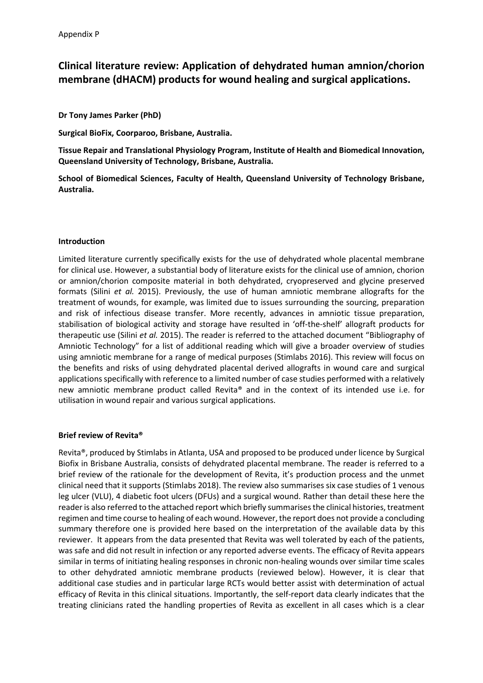# **Clinical literature review: Application of dehydrated human amnion/chorion membrane (dHACM) products for wound healing and surgical applications.**

**Dr Tony James Parker (PhD)**

**Surgical BioFix, Coorparoo, Brisbane, Australia.**

**Tissue Repair and Translational Physiology Program, Institute of Health and Biomedical Innovation, Queensland University of Technology, Brisbane, Australia.**

**School of Biomedical Sciences, Faculty of Health, Queensland University of Technology Brisbane, Australia.**

#### **Introduction**

Limited literature currently specifically exists for the use of dehydrated whole placental membrane for clinical use. However, a substantial body of literature exists for the clinical use of amnion, chorion or amnion/chorion composite material in both dehydrated, cryopreserved and glycine preserved formats (Silini *et al.* 2015). Previously, the use of human amniotic membrane allografts for the treatment of wounds, for example, was limited due to issues surrounding the sourcing, preparation and risk of infectious disease transfer. More recently, advances in amniotic tissue preparation, stabilisation of biological activity and storage have resulted in 'off-the-shelf' allograft products for therapeutic use (Silini *et al.* 2015). The reader is referred to the attached document "Bibliography of Amniotic Technology" for a list of additional reading which will give a broader overview of studies using amniotic membrane for a range of medical purposes (Stimlabs 2016). This review will focus on the benefits and risks of using dehydrated placental derived allografts in wound care and surgical applications specifically with reference to a limited number of case studies performed with a relatively new amniotic membrane product called Revita® and in the context of its intended use i.e. for utilisation in wound repair and various surgical applications.

#### **Brief review of Revita®**

Revita®, produced by Stimlabs in Atlanta, USA and proposed to be produced under licence by Surgical Biofix in Brisbane Australia, consists of dehydrated placental membrane. The reader is referred to a brief review of the rationale for the development of Revita, it's production process and the unmet clinical need that it supports (Stimlabs 2018). The review also summarises six case studies of 1 venous leg ulcer (VLU), 4 diabetic foot ulcers (DFUs) and a surgical wound. Rather than detail these here the reader is also referred to the attached report which briefly summarises the clinical histories, treatment regimen and time course to healing of each wound. However, the report does not provide a concluding summary therefore one is provided here based on the interpretation of the available data by this reviewer. It appears from the data presented that Revita was well tolerated by each of the patients, was safe and did not result in infection or any reported adverse events. The efficacy of Revita appears similar in terms of initiating healing responses in chronic non-healing wounds over similar time scales to other dehydrated amniotic membrane products (reviewed below). However, it is clear that additional case studies and in particular large RCTs would better assist with determination of actual efficacy of Revita in this clinical situations. Importantly, the self-report data clearly indicates that the treating clinicians rated the handling properties of Revita as excellent in all cases which is a clear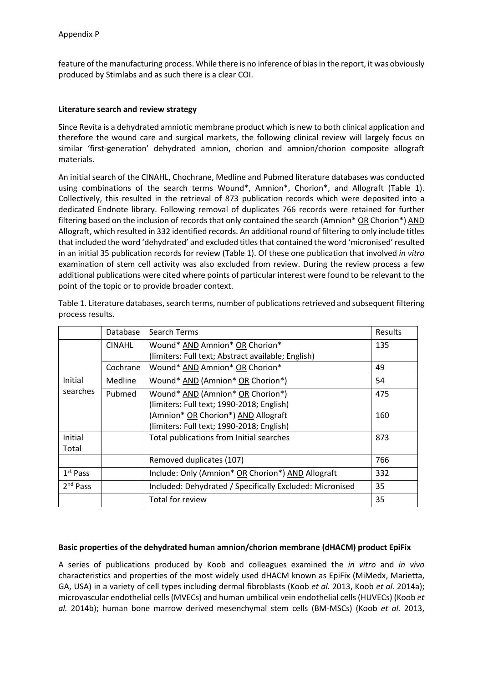feature of the manufacturing process. While there is no inference of bias in the report, it was obviously produced by Stimlabs and as such there is a clear COI.

### **Literature search and review strategy**

Since Revita is a dehydrated amniotic membrane product which is new to both clinical application and therefore the wound care and surgical markets, the following clinical review will largely focus on similar 'first-generation' dehydrated amnion, chorion and amnion/chorion composite allograft materials.

An initial search of the CINAHL, Chochrane, Medline and Pubmed literature databases was conducted using combinations of the search terms Wound\*, Amnion\*, Chorion\*, and Allograft (Table 1). Collectively, this resulted in the retrieval of 873 publication records which were deposited into a dedicated Endnote library. Following removal of duplicates 766 records were retained for further filtering based on the inclusion of records that only contained the search (Amnion\* OR Chorion\*) AND Allograft, which resulted in 332 identified records. An additional round of filtering to only include titles that included the word 'dehydrated' and excluded titles that contained the word 'micronised' resulted in an initial 35 publication records for review (Table 1). Of these one publication that involved *in vitro* examination of stem cell activity was also excluded from review. During the review process a few additional publications were cited where points of particular interest were found to be relevant to the point of the topic or to provide broader context.

|                      | Database       | Search Terms                                             | <b>Results</b> |
|----------------------|----------------|----------------------------------------------------------|----------------|
|                      | <b>CINAHL</b>  | Wound* AND Amnion* OR Chorion*                           | 135            |
|                      |                | (limiters: Full text; Abstract available; English)       |                |
|                      | Cochrane       | Wound* AND Amnion* OR Chorion*                           | 49             |
| Initial              | <b>Medline</b> | Wound* AND (Amnion* OR Chorion*)                         | 54             |
| searches             | Pubmed         | Wound* AND (Amnion* OR Chorion*)                         | 475            |
|                      |                | (limiters: Full text; 1990-2018; English)                |                |
|                      |                | (Amnion* OR Chorion*) AND Allograft                      | 160            |
|                      |                | (limiters: Full text; 1990-2018; English)                |                |
| Initial              |                | Total publications from Initial searches                 | 873            |
| Total                |                |                                                          |                |
|                      |                | Removed duplicates (107)                                 | 766            |
| $1st$ Pass           |                | Include: Only (Amnion* OR Chorion*) AND Allograft        | 332            |
| 2 <sup>nd</sup> Pass |                | Included: Dehydrated / Specifically Excluded: Micronised | 35             |
|                      |                | Total for review                                         | 35             |

Table 1. Literature databases, search terms, number of publications retrieved and subsequent filtering process results.

#### **Basic properties of the dehydrated human amnion/chorion membrane (dHACM) product EpiFix**

A series of publications produced by Koob and colleagues examined the *in vitro* and *in vivo* characteristics and properties of the most widely used dHACM known as EpiFix (MiMedx, Marietta, GA, USA) in a variety of cell types including dermal fibroblasts (Koob *et al.* 2013, Koob *et al.* 2014a); microvascular endothelial cells (MVECs) and human umbilical vein endothelial cells (HUVECs) (Koob *et al.* 2014b); human bone marrow derived mesenchymal stem cells (BM-MSCs) (Koob *et al.* 2013,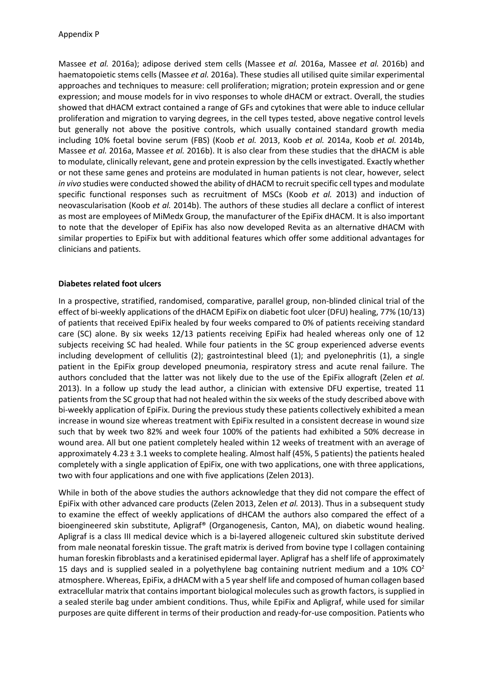Massee *et al.* 2016a); adipose derived stem cells (Massee *et al.* 2016a, Massee *et al.* 2016b) and haematopoietic stems cells (Massee *et al.* 2016a). These studies all utilised quite similar experimental approaches and techniques to measure: cell proliferation; migration; protein expression and or gene expression; and mouse models for in vivo responses to whole dHACM or extract. Overall, the studies showed that dHACM extract contained a range of GFs and cytokines that were able to induce cellular proliferation and migration to varying degrees, in the cell types tested, above negative control levels but generally not above the positive controls, which usually contained standard growth media including 10% foetal bovine serum (FBS) (Koob *et al.* 2013, Koob *et al.* 2014a, Koob *et al.* 2014b, Massee *et al.* 2016a, Massee *et al.* 2016b). It is also clear from these studies that the dHACM is able to modulate, clinically relevant, gene and protein expression by the cells investigated. Exactly whether or not these same genes and proteins are modulated in human patients is not clear, however, select *in vivo* studies were conducted showed the ability of dHACM to recruit specific cell types and modulate specific functional responses such as recruitment of MSCs (Koob *et al.* 2013) and induction of neovascularisation (Koob *et al.* 2014b). The authors of these studies all declare a conflict of interest as most are employees of MiMedx Group, the manufacturer of the EpiFix dHACM. It is also important to note that the developer of EpiFix has also now developed Revita as an alternative dHACM with similar properties to EpiFix but with additional features which offer some additional advantages for clinicians and patients.

## **Diabetes related foot ulcers**

In a prospective, stratified, randomised, comparative, parallel group, non-blinded clinical trial of the effect of bi-weekly applications of the dHACM EpiFix on diabetic foot ulcer (DFU) healing, 77% (10/13) of patients that received EpiFix healed by four weeks compared to 0% of patients receiving standard care (SC) alone. By six weeks 12/13 patients receiving EpiFix had healed whereas only one of 12 subjects receiving SC had healed. While four patients in the SC group experienced adverse events including development of cellulitis (2); gastrointestinal bleed (1); and pyelonephritis (1), a single patient in the EpiFix group developed pneumonia, respiratory stress and acute renal failure. The authors concluded that the latter was not likely due to the use of the EpiFix allograft (Zelen *et al.* 2013). In a follow up study the lead author, a clinician with extensive DFU expertise, treated 11 patients from the SC group that had not healed within the six weeks of the study described above with bi-weekly application of EpiFix. During the previous study these patients collectively exhibited a mean increase in wound size whereas treatment with EpiFix resulted in a consistent decrease in wound size such that by week two 82% and week four 100% of the patients had exhibited a 50% decrease in wound area. All but one patient completely healed within 12 weeks of treatment with an average of approximately 4.23 ± 3.1 weeks to complete healing. Almost half (45%, 5 patients) the patients healed completely with a single application of EpiFix, one with two applications, one with three applications, two with four applications and one with five applications (Zelen 2013).

While in both of the above studies the authors acknowledge that they did not compare the effect of EpiFix with other advanced care products (Zelen 2013, Zelen *et al.* 2013). Thus in a subsequent study to examine the effect of weekly applications of dHCAM the authors also compared the effect of a bioengineered skin substitute, Apligraf® (Organogenesis, Canton, MA), on diabetic wound healing. Apligraf is a class III medical device which is a bi-layered allogeneic cultured skin substitute derived from male neonatal foreskin tissue. The graft matrix is derived from bovine type I collagen containing human foreskin fibroblasts and a keratinised epidermal layer. Apligraf has a shelf life of approximately 15 days and is supplied sealed in a polyethylene bag containing nutrient medium and a 10%  $CO<sup>2</sup>$ atmosphere. Whereas, EpiFix, a dHACM with a 5 year shelf life and composed of human collagen based extracellular matrix that contains important biological molecules such as growth factors, is supplied in a sealed sterile bag under ambient conditions. Thus, while EpiFix and Apligraf, while used for similar purposes are quite different in terms of their production and ready-for-use composition. Patients who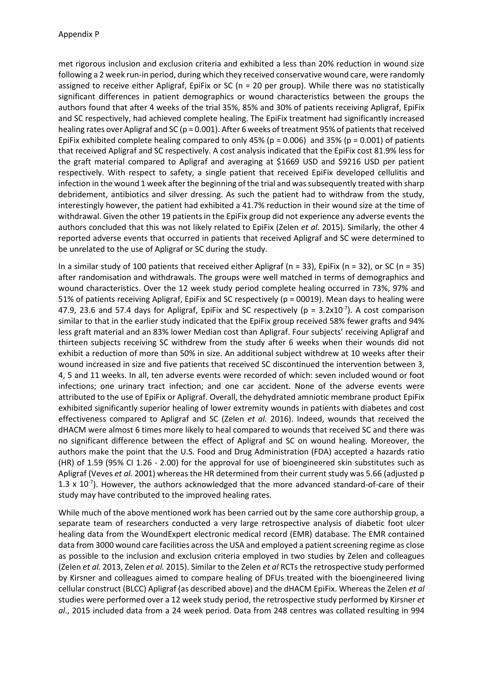met rigorous inclusion and exclusion criteria and exhibited a less than 20% reduction in wound size following a 2 week run-in period, during which they received conservative wound care, were randomly assigned to receive either Apligraf, EpiFix or SC (n = 20 per group). While there was no statistically significant differences in patient demographics or wound characteristics between the groups the authors found that after 4 weeks of the trial 35%, 85% and 30% of patients receiving Apligraf, EpiFix and SC respectively, had achieved complete healing. The EpiFix treatment had significantly increased healing rates over Apligraf and SC (p = 0.001). After 6 weeks of treatment 95% of patients that received EpiFix exhibited complete healing compared to only  $45\%$  (p = 0.006) and 35% (p = 0.001) of patients that received Apligraf and SC respectively. A cost analysis indicated that the EpiFix cost 81.9% less for the graft material compared to Apligraf and averaging at \$1669 USD and \$9216 USD per patient respectively. With respect to safety, a single patient that received EpiFix developed cellulitis and infection in the wound 1 week after the beginning of the trial and was subsequently treated with sharp debridement, antibiotics and silver dressing. As such the patient had to withdraw from the study, interestingly however, the patient had exhibited a 41.7% reduction in their wound size at the time of withdrawal. Given the other 19 patients in the EpiFix group did not experience any adverse events the authors concluded that this was not likely related to EpiFix (Zelen *et al.* 2015). Similarly, the other 4 reported adverse events that occurred in patients that received Apligraf and SC were determined to be unrelated to the use of Apligraf or SC during the study.

In a similar study of 100 patients that received either Apligraf ( $n = 33$ ), EpiFix ( $n = 32$ ), or SC ( $n = 35$ ) after randomisation and withdrawals. The groups were well matched in terms of demographics and wound characteristics. Over the 12 week study period complete healing occurred in 73%, 97% and 51% of patients receiving Apligraf, EpiFix and SC respectively (p = 00019). Mean days to healing were 47.9, 23.6 and 57.4 days for Apligraf, EpiFix and SC respectively ( $p = 3.2x10^{-7}$ ). A cost comparison similar to that in the earlier study indicated that the EpiFix group received 58% fewer grafts and 94% less graft material and an 83% lower Median cost than Apligraf. Four subjects' receiving Apligraf and thirteen subjects receiving SC withdrew from the study after 6 weeks when their wounds did not exhibit a reduction of more than 50% in size. An additional subject withdrew at 10 weeks after their wound increased in size and five patients that received SC discontinued the intervention between 3, 4, 5 and 11 weeks. In all, ten adverse events were recorded of which: seven included wound or foot infections; one urinary tract infection; and one car accident. None of the adverse events were attributed to the use of EpiFix or Apligraf. Overall, the dehydrated amniotic membrane product EpiFix exhibited significantly superior healing of lower extremity wounds in patients with diabetes and cost effectiveness compared to Apligraf and SC (Zelen *et al.* 2016). Indeed, wounds that received the dHACM were almost 6 times more likely to heal compared to wounds that received SC and there was no significant difference between the effect of Apligraf and SC on wound healing. Moreover, the authors make the point that the U.S. Food and Drug Administration (FDA) accepted a hazards ratio (HR) of 1.59 (95% CI 1.26 - 2.00) for the approval for use of bioengineered skin substitutes such as Apligraf (Veves *et al.* 2001) whereas the HR determined from their current study was 5.66 (adjusted p 1.3 x  $10^{-7}$ ). However, the authors acknowledged that the more advanced standard-of-care of their study may have contributed to the improved healing rates.

While much of the above mentioned work has been carried out by the same core authorship group, a separate team of researchers conducted a very large retrospective analysis of diabetic foot ulcer healing data from the WoundExpert electronic medical record (EMR) database. The EMR contained data from 3000 wound care facilities across the USA and employed a patient screening regime as close as possible to the inclusion and exclusion criteria employed in two studies by Zelen and colleagues (Zelen *et al.* 2013, Zelen *et al.* 2015). Similar to the Zelen *et al* RCTs the retrospective study performed by Kirsner and colleagues aimed to compare healing of DFUs treated with the bioengineered living cellular construct (BLCC) Apligraf (as described above) and the dHACM EpiFix. Whereas the Zelen *et al* studies were performed over a 12 week study period, the retrospective study performed by Kirsner *et al*., 2015 included data from a 24 week period. Data from 248 centres was collated resulting in 994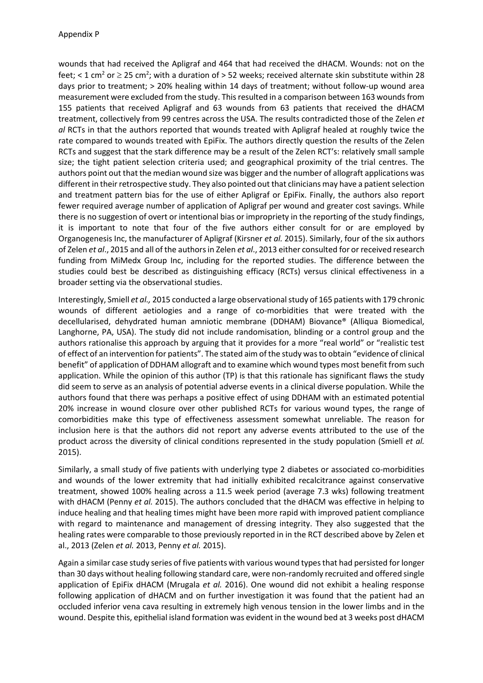wounds that had received the Apligraf and 464 that had received the dHACM. Wounds: not on the feet; < 1 cm<sup>2</sup> or  $\geq$  25 cm<sup>2</sup>; with a duration of > 52 weeks; received alternate skin substitute within 28 days prior to treatment; > 20% healing within 14 days of treatment; without follow-up wound area measurement were excluded from the study. This resulted in a comparison between 163 wounds from 155 patients that received Apligraf and 63 wounds from 63 patients that received the dHACM treatment, collectively from 99 centres across the USA. The results contradicted those of the Zelen *et al* RCTs in that the authors reported that wounds treated with Apligraf healed at roughly twice the rate compared to wounds treated with EpiFix. The authors directly question the results of the Zelen RCTs and suggest that the stark difference may be a result of the Zelen RCT's: relatively small sample size; the tight patient selection criteria used; and geographical proximity of the trial centres. The authors point out that the median wound size was bigger and the number of allograft applications was different in their retrospective study. They also pointed out that clinicians may have a patient selection and treatment pattern bias for the use of either Apligraf or EpiFix. Finally, the authors also report fewer required average number of application of Apligraf per wound and greater cost savings. While there is no suggestion of overt or intentional bias or impropriety in the reporting of the study findings, it is important to note that four of the five authors either consult for or are employed by Organogenesis Inc, the manufacturer of Apligraf (Kirsner *et al.* 2015). Similarly, four of the six authors of Zelen *et al*., 2015 and all of the authors in Zelen *et al*., 2013 either consulted for or received research funding from MiMedx Group Inc, including for the reported studies. The difference between the studies could best be described as distinguishing efficacy (RCTs) versus clinical effectiveness in a broader setting via the observational studies.

Interestingly, Smiell *et al.,* 2015 conducted a large observational study of 165 patients with 179 chronic wounds of different aetiologies and a range of co-morbidities that were treated with the decellularised, dehydrated human amniotic membrane (DDHAM) Biovance® (Alliqua Biomedical, Langhorne, PA, USA). The study did not include randomisation, blinding or a control group and the authors rationalise this approach by arguing that it provides for a more "real world" or "realistic test of effect of an intervention for patients". The stated aim of the study was to obtain "evidence of clinical benefit" of application of DDHAM allograft and to examine which wound types most benefit from such application. While the opinion of this author (TP) is that this rationale has significant flaws the study did seem to serve as an analysis of potential adverse events in a clinical diverse population. While the authors found that there was perhaps a positive effect of using DDHAM with an estimated potential 20% increase in wound closure over other published RCTs for various wound types, the range of comorbidities make this type of effectiveness assessment somewhat unreliable. The reason for inclusion here is that the authors did not report any adverse events attributed to the use of the product across the diversity of clinical conditions represented in the study population (Smiell *et al.* 2015).

Similarly, a small study of five patients with underlying type 2 diabetes or associated co-morbidities and wounds of the lower extremity that had initially exhibited recalcitrance against conservative treatment, showed 100% healing across a 11.5 week period (average 7.3 wks) following treatment with dHACM (Penny *et al.* 2015). The authors concluded that the dHACM was effective in helping to induce healing and that healing times might have been more rapid with improved patient compliance with regard to maintenance and management of dressing integrity. They also suggested that the healing rates were comparable to those previously reported in in the RCT described above by Zelen et al., 2013 (Zelen *et al.* 2013, Penny *et al.* 2015).

Again a similar case study series of five patients with various wound types that had persisted for longer than 30 days without healing following standard care, were non-randomly recruited and offered single application of EpiFix dHACM (Mrugala *et al.* 2016). One wound did not exhibit a healing response following application of dHACM and on further investigation it was found that the patient had an occluded inferior vena cava resulting in extremely high venous tension in the lower limbs and in the wound. Despite this, epithelial island formation was evident in the wound bed at 3 weeks post dHACM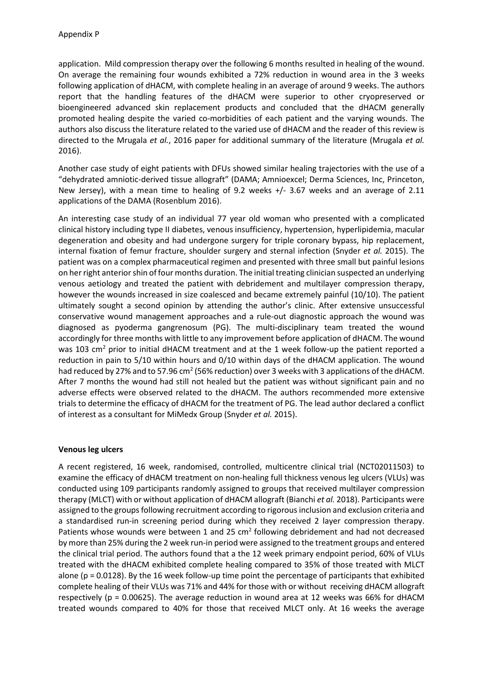application. Mild compression therapy over the following 6 months resulted in healing of the wound. On average the remaining four wounds exhibited a 72% reduction in wound area in the 3 weeks following application of dHACM, with complete healing in an average of around 9 weeks. The authors report that the handling features of the dHACM were superior to other cryopreserved or bioengineered advanced skin replacement products and concluded that the dHACM generally promoted healing despite the varied co-morbidities of each patient and the varying wounds. The authors also discuss the literature related to the varied use of dHACM and the reader of this review is directed to the Mrugala *et al.*, 2016 paper for additional summary of the literature (Mrugala *et al.* 2016).

Another case study of eight patients with DFUs showed similar healing trajectories with the use of a "dehydrated amniotic-derived tissue allograft" (DAMA; Amnioexcel; Derma Sciences, Inc, Princeton, New Jersey), with a mean time to healing of 9.2 weeks +/- 3.67 weeks and an average of 2.11 applications of the DAMA (Rosenblum 2016).

An interesting case study of an individual 77 year old woman who presented with a complicated clinical history including type II diabetes, venous insufficiency, hypertension, hyperlipidemia, macular degeneration and obesity and had undergone surgery for triple coronary bypass, hip replacement, internal fixation of femur fracture, shoulder surgery and sternal infection (Snyder *et al.* 2015). The patient was on a complex pharmaceutical regimen and presented with three small but painful lesions on her right anterior shin of four months duration. The initial treating clinician suspected an underlying venous aetiology and treated the patient with debridement and multilayer compression therapy, however the wounds increased in size coalesced and became extremely painful (10/10). The patient ultimately sought a second opinion by attending the author's clinic. After extensive unsuccessful conservative wound management approaches and a rule-out diagnostic approach the wound was diagnosed as pyoderma gangrenosum (PG). The multi-disciplinary team treated the wound accordingly for three months with little to any improvement before application of dHACM. The wound was 103 cm<sup>2</sup> prior to initial dHACM treatment and at the 1 week follow-up the patient reported a reduction in pain to 5/10 within hours and 0/10 within days of the dHACM application. The wound had reduced by 27% and to 57.96 cm<sup>2</sup> (56% reduction) over 3 weeks with 3 applications of the dHACM. After 7 months the wound had still not healed but the patient was without significant pain and no adverse effects were observed related to the dHACM. The authors recommended more extensive trials to determine the efficacy of dHACM for the treatment of PG. The lead author declared a conflict of interest as a consultant for MiMedx Group (Snyder *et al.* 2015).

#### **Venous leg ulcers**

A recent registered, 16 week, randomised, controlled, multicentre clinical trial (NCT02011503) to examine the efficacy of dHACM treatment on non-healing full thickness venous leg ulcers (VLUs) was conducted using 109 participants randomly assigned to groups that received multilayer compression therapy (MLCT) with or without application of dHACM allograft (Bianchi *et al.* 2018). Participants were assigned to the groups following recruitment according to rigorous inclusion and exclusion criteria and a standardised run-in screening period during which they received 2 layer compression therapy. Patients whose wounds were between 1 and 25  $\text{cm}^2$  following debridement and had not decreased by more than 25% during the 2 week run-in period were assigned to the treatment groups and entered the clinical trial period. The authors found that a the 12 week primary endpoint period, 60% of VLUs treated with the dHACM exhibited complete healing compared to 35% of those treated with MLCT alone ( $p = 0.0128$ ). By the 16 week follow-up time point the percentage of participants that exhibited complete healing of their VLUs was 71% and 44% for those with or without receiving dHACM allograft respectively ( $p = 0.00625$ ). The average reduction in wound area at 12 weeks was 66% for dHACM treated wounds compared to 40% for those that received MLCT only. At 16 weeks the average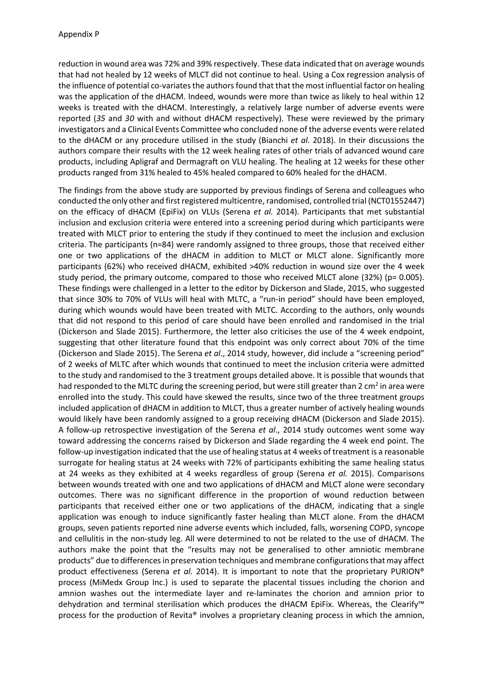reduction in wound area was 72% and 39% respectively. These data indicated that on average wounds that had not healed by 12 weeks of MLCT did not continue to heal. Using a Cox regression analysis of the influence of potential co-variates the authors found that that the most influential factor on healing was the application of the dHACM. Indeed, wounds were more than twice as likely to heal within 12 weeks is treated with the dHACM. Interestingly, a relatively large number of adverse events were reported (*35* and *30* with and without dHACM respectively). These were reviewed by the primary investigators and a Clinical Events Committee who concluded none of the adverse events were related to the dHACM or any procedure utilised in the study (Bianchi *et al.* 2018). In their discussions the authors compare their results with the 12 week healing rates of other trials of advanced wound care products, including Apligraf and Dermagraft on VLU healing. The healing at 12 weeks for these other products ranged from 31% healed to 45% healed compared to 60% healed for the dHACM.

The findings from the above study are supported by previous findings of Serena and colleagues who conducted the only other and first registered multicentre, randomised, controlled trial (NCT01552447) on the efficacy of dHACM (EpiFix) on VLUs (Serena *et al.* 2014). Participants that met substantial inclusion and exclusion criteria were entered into a screening period during which participants were treated with MLCT prior to entering the study if they continued to meet the inclusion and exclusion criteria. The participants (n=84) were randomly assigned to three groups, those that received either one or two applications of the dHACM in addition to MLCT or MLCT alone. Significantly more participants (62%) who received dHACM, exhibited >40% reduction in wound size over the 4 week study period, the primary outcome, compared to those who received MLCT alone  $(32%)$  (p= 0.005). These findings were challenged in a letter to the editor by Dickerson and Slade, 2015, who suggested that since 30% to 70% of VLUs will heal with MLTC, a "run-in period" should have been employed, during which wounds would have been treated with MLTC. According to the authors, only wounds that did not respond to this period of care should have been enrolled and randomised in the trial (Dickerson and Slade 2015). Furthermore, the letter also criticises the use of the 4 week endpoint, suggesting that other literature found that this endpoint was only correct about 70% of the time (Dickerson and Slade 2015). The Serena *et al*., 2014 study, however, did include a "screening period" of 2 weeks of MLTC after which wounds that continued to meet the inclusion criteria were admitted to the study and randomised to the 3 treatment groups detailed above. It is possible that wounds that had responded to the MLTC during the screening period, but were still greater than 2 cm<sup>2</sup> in area were enrolled into the study. This could have skewed the results, since two of the three treatment groups included application of dHACM in addition to MLCT, thus a greater number of actively healing wounds would likely have been randomly assigned to a group receiving dHACM (Dickerson and Slade 2015). A follow-up retrospective investigation of the Serena *et al*., 2014 study outcomes went some way toward addressing the concerns raised by Dickerson and Slade regarding the 4 week end point. The follow-up investigation indicated that the use of healing status at 4 weeks of treatment is a reasonable surrogate for healing status at 24 weeks with 72% of participants exhibiting the same healing status at 24 weeks as they exhibited at 4 weeks regardless of group (Serena *et al.* 2015). Comparisons between wounds treated with one and two applications of dHACM and MLCT alone were secondary outcomes. There was no significant difference in the proportion of wound reduction between participants that received either one or two applications of the dHACM, indicating that a single application was enough to induce significantly faster healing than MLCT alone. From the dHACM groups, seven patients reported nine adverse events which included, falls, worsening COPD, syncope and cellulitis in the non-study leg. All were determined to not be related to the use of dHACM. The authors make the point that the "results may not be generalised to other amniotic membrane products" due to differences in preservation techniques and membrane configurations that may affect product effectiveness (Serena *et al.* 2014). It is important to note that the proprietary PURION® process (MiMedx Group Inc.) is used to separate the placental tissues including the chorion and amnion washes out the intermediate layer and re-laminates the chorion and amnion prior to dehydration and terminal sterilisation which produces the dHACM EpiFix. Whereas, the Clearify™ process for the production of Revita® involves a proprietary cleaning process in which the amnion,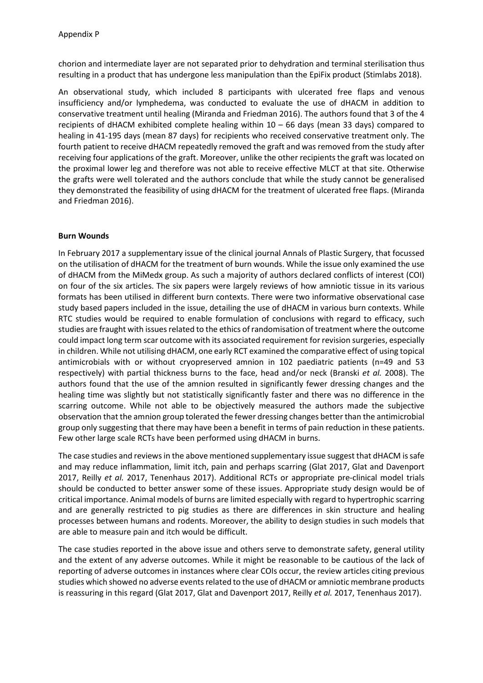chorion and intermediate layer are not separated prior to dehydration and terminal sterilisation thus resulting in a product that has undergone less manipulation than the EpiFix product (Stimlabs 2018).

An observational study, which included 8 participants with ulcerated free flaps and venous insufficiency and/or lymphedema, was conducted to evaluate the use of dHACM in addition to conservative treatment until healing (Miranda and Friedman 2016). The authors found that 3 of the 4 recipients of dHACM exhibited complete healing within  $10 - 66$  days (mean 33 days) compared to healing in 41-195 days (mean 87 days) for recipients who received conservative treatment only. The fourth patient to receive dHACM repeatedly removed the graft and was removed from the study after receiving four applications of the graft. Moreover, unlike the other recipients the graft was located on the proximal lower leg and therefore was not able to receive effective MLCT at that site. Otherwise the grafts were well tolerated and the authors conclude that while the study cannot be generalised they demonstrated the feasibility of using dHACM for the treatment of ulcerated free flaps. (Miranda and Friedman 2016).

# **Burn Wounds**

In February 2017 a supplementary issue of the clinical journal Annals of Plastic Surgery, that focussed on the utilisation of dHACM for the treatment of burn wounds. While the issue only examined the use of dHACM from the MiMedx group. As such a majority of authors declared conflicts of interest (COI) on four of the six articles. The six papers were largely reviews of how amniotic tissue in its various formats has been utilised in different burn contexts. There were two informative observational case study based papers included in the issue, detailing the use of dHACM in various burn contexts. While RTC studies would be required to enable formulation of conclusions with regard to efficacy, such studies are fraught with issues related to the ethics of randomisation of treatment where the outcome could impact long term scar outcome with its associated requirement for revision surgeries, especially in children. While not utilising dHACM, one early RCT examined the comparative effect of using topical antimicrobials with or without cryopreserved amnion in 102 paediatric patients (n=49 and 53 respectively) with partial thickness burns to the face, head and/or neck (Branski *et al.* 2008). The authors found that the use of the amnion resulted in significantly fewer dressing changes and the healing time was slightly but not statistically significantly faster and there was no difference in the scarring outcome. While not able to be objectively measured the authors made the subjective observation that the amnion group tolerated the fewer dressing changes better than the antimicrobial group only suggesting that there may have been a benefit in terms of pain reduction in these patients. Few other large scale RCTs have been performed using dHACM in burns.

The case studies and reviews in the above mentioned supplementary issue suggest that dHACM is safe and may reduce inflammation, limit itch, pain and perhaps scarring (Glat 2017, Glat and Davenport 2017, Reilly *et al.* 2017, Tenenhaus 2017). Additional RCTs or appropriate pre-clinical model trials should be conducted to better answer some of these issues. Appropriate study design would be of critical importance. Animal models of burns are limited especially with regard to hypertrophic scarring and are generally restricted to pig studies as there are differences in skin structure and healing processes between humans and rodents. Moreover, the ability to design studies in such models that are able to measure pain and itch would be difficult.

The case studies reported in the above issue and others serve to demonstrate safety, general utility and the extent of any adverse outcomes. While it might be reasonable to be cautious of the lack of reporting of adverse outcomes in instances where clear COIs occur, the review articles citing previous studies which showed no adverse events related to the use of dHACM or amniotic membrane products is reassuring in this regard (Glat 2017, Glat and Davenport 2017, Reilly *et al.* 2017, Tenenhaus 2017).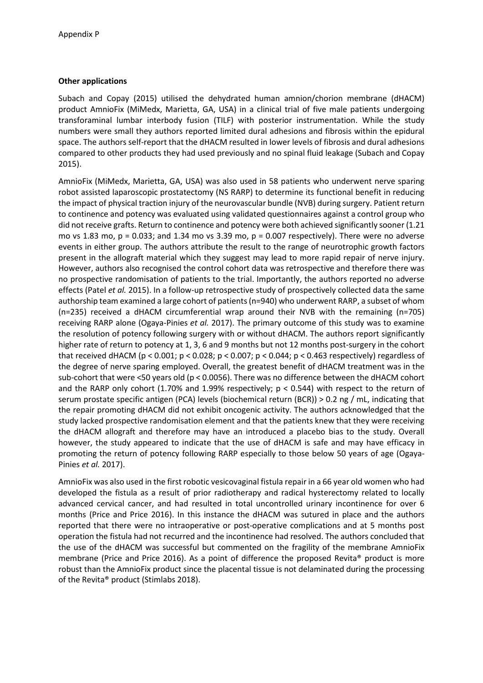# **Other applications**

Subach and Copay (2015) utilised the dehydrated human amnion/chorion membrane (dHACM) product AmnioFix (MiMedx, Marietta, GA, USA) in a clinical trial of five male patients undergoing transforaminal lumbar interbody fusion (TILF) with posterior instrumentation. While the study numbers were small they authors reported limited dural adhesions and fibrosis within the epidural space. The authors self-report that the dHACM resulted in lower levels of fibrosis and dural adhesions compared to other products they had used previously and no spinal fluid leakage (Subach and Copay 2015).

AmnioFix (MiMedx, Marietta, GA, USA) was also used in 58 patients who underwent nerve sparing robot assisted laparoscopic prostatectomy (NS RARP) to determine its functional benefit in reducing the impact of physical traction injury of the neurovascular bundle (NVB) during surgery. Patient return to continence and potency was evaluated using validated questionnaires against a control group who did not receive grafts. Return to continence and potency were both achieved significantly sooner (1.21 mo vs 1.83 mo,  $p = 0.033$ ; and 1.34 mo vs 3.39 mo,  $p = 0.007$  respectively). There were no adverse events in either group. The authors attribute the result to the range of neurotrophic growth factors present in the allograft material which they suggest may lead to more rapid repair of nerve injury. However, authors also recognised the control cohort data was retrospective and therefore there was no prospective randomisation of patients to the trial. Importantly, the authors reported no adverse effects (Patel *et al.* 2015). In a follow-up retrospective study of prospectively collected data the same authorship team examined a large cohort of patients (n=940) who underwent RARP, a subset of whom (n=235) received a dHACM circumferential wrap around their NVB with the remaining (n=705) receiving RARP alone (Ogaya-Pinies *et al.* 2017). The primary outcome of this study was to examine the resolution of potency following surgery with or without dHACM. The authors report significantly higher rate of return to potency at 1, 3, 6 and 9 months but not 12 months post-surgery in the cohort that received dHACM (p < 0.001; p < 0.028; p < 0.007; p < 0.044; p < 0.463 respectively) regardless of the degree of nerve sparing employed. Overall, the greatest benefit of dHACM treatment was in the sub-cohort that were <50 years old (p < 0.0056). There was no difference between the dHACM cohort and the RARP only cohort (1.70% and 1.99% respectively;  $p < 0.544$ ) with respect to the return of serum prostate specific antigen (PCA) levels (biochemical return (BCR)) > 0.2 ng / mL, indicating that the repair promoting dHACM did not exhibit oncogenic activity. The authors acknowledged that the study lacked prospective randomisation element and that the patients knew that they were receiving the dHACM allograft and therefore may have an introduced a placebo bias to the study. Overall however, the study appeared to indicate that the use of dHACM is safe and may have efficacy in promoting the return of potency following RARP especially to those below 50 years of age (Ogaya-Pinies *et al.* 2017).

AmnioFix was also used in the first robotic vesicovaginal fistula repair in a 66 year old women who had developed the fistula as a result of prior radiotherapy and radical hysterectomy related to locally advanced cervical cancer, and had resulted in total uncontrolled urinary incontinence for over 6 months (Price and Price 2016). In this instance the dHACM was sutured in place and the authors reported that there were no intraoperative or post-operative complications and at 5 months post operation the fistula had not recurred and the incontinence had resolved. The authors concluded that the use of the dHACM was successful but commented on the fragility of the membrane AmnioFix membrane (Price and Price 2016). As a point of difference the proposed Revita® product is more robust than the AmnioFix product since the placental tissue is not delaminated during the processing of the Revita® product (Stimlabs 2018).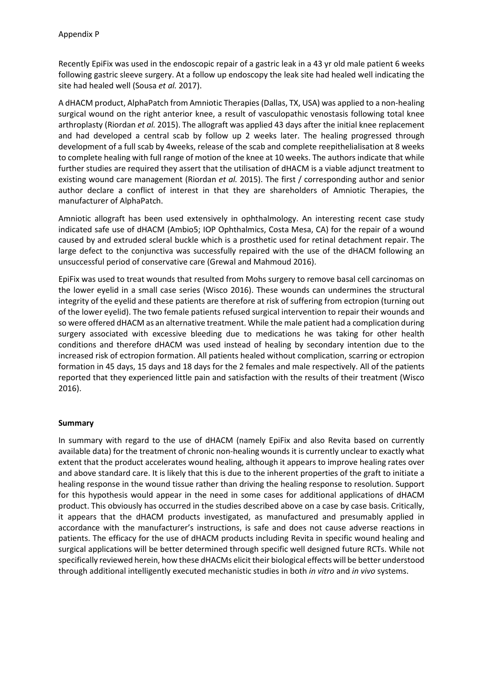Recently EpiFix was used in the endoscopic repair of a gastric leak in a 43 yr old male patient 6 weeks following gastric sleeve surgery. At a follow up endoscopy the leak site had healed well indicating the site had healed well (Sousa *et al.* 2017).

A dHACM product, AlphaPatch from Amniotic Therapies (Dallas, TX, USA) was applied to a non-healing surgical wound on the right anterior knee, a result of vasculopathic venostasis following total knee arthroplasty (Riordan *et al.* 2015). The allograft was applied 43 days after the initial knee replacement and had developed a central scab by follow up 2 weeks later. The healing progressed through development of a full scab by 4weeks, release of the scab and complete reepithelialisation at 8 weeks to complete healing with full range of motion of the knee at 10 weeks. The authors indicate that while further studies are required they assert that the utilisation of dHACM is a viable adjunct treatment to existing wound care management (Riordan *et al.* 2015). The first / corresponding author and senior author declare a conflict of interest in that they are shareholders of Amniotic Therapies, the manufacturer of AlphaPatch.

Amniotic allograft has been used extensively in ophthalmology. An interesting recent case study indicated safe use of dHACM (Ambio5; IOP Ophthalmics, Costa Mesa, CA) for the repair of a wound caused by and extruded scleral buckle which is a prosthetic used for retinal detachment repair. The large defect to the conjunctiva was successfully repaired with the use of the dHACM following an unsuccessful period of conservative care (Grewal and Mahmoud 2016).

EpiFix was used to treat wounds that resulted from Mohs surgery to remove basal cell carcinomas on the lower eyelid in a small case series (Wisco 2016). These wounds can undermines the structural integrity of the eyelid and these patients are therefore at risk of suffering from ectropion (turning out of the lower eyelid). The two female patients refused surgical intervention to repair their wounds and so were offered dHACM as an alternative treatment. While the male patient had a complication during surgery associated with excessive bleeding due to medications he was taking for other health conditions and therefore dHACM was used instead of healing by secondary intention due to the increased risk of ectropion formation. All patients healed without complication, scarring or ectropion formation in 45 days, 15 days and 18 days for the 2 females and male respectively. All of the patients reported that they experienced little pain and satisfaction with the results of their treatment (Wisco 2016).

# **Summary**

In summary with regard to the use of dHACM (namely EpiFix and also Revita based on currently available data) for the treatment of chronic non-healing wounds it is currently unclear to exactly what extent that the product accelerates wound healing, although it appears to improve healing rates over and above standard care. It is likely that this is due to the inherent properties of the graft to initiate a healing response in the wound tissue rather than driving the healing response to resolution. Support for this hypothesis would appear in the need in some cases for additional applications of dHACM product. This obviously has occurred in the studies described above on a case by case basis. Critically, it appears that the dHACM products investigated, as manufactured and presumably applied in accordance with the manufacturer's instructions, is safe and does not cause adverse reactions in patients. The efficacy for the use of dHACM products including Revita in specific wound healing and surgical applications will be better determined through specific well designed future RCTs. While not specifically reviewed herein, how these dHACMs elicit their biological effects will be better understood through additional intelligently executed mechanistic studies in both *in vitro* and *in vivo* systems.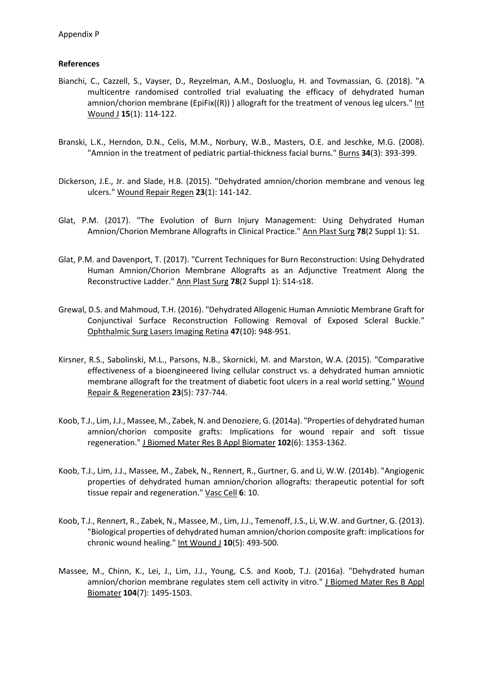#### **References**

- Bianchi, C., Cazzell, S., Vayser, D., Reyzelman, A.M., Dosluoglu, H. and Tovmassian, G. (2018). "A multicentre randomised controlled trial evaluating the efficacy of dehydrated human amnion/chorion membrane (EpiFix( $(R)$ ) ) allograft for the treatment of venous leg ulcers." Int Wound J **15**(1): 114-122.
- Branski, L.K., Herndon, D.N., Celis, M.M., Norbury, W.B., Masters, O.E. and Jeschke, M.G. (2008). "Amnion in the treatment of pediatric partial-thickness facial burns." Burns 34(3): 393-399.
- Dickerson, J.E., Jr. and Slade, H.B. (2015). "Dehydrated amnion/chorion membrane and venous leg ulcers." Wound Repair Regen **23**(1): 141-142.
- Glat, P.M. (2017). "The Evolution of Burn Injury Management: Using Dehydrated Human Amnion/Chorion Membrane Allografts in Clinical Practice." Ann Plast Surg **78**(2 Suppl 1): S1.
- Glat, P.M. and Davenport, T. (2017). "Current Techniques for Burn Reconstruction: Using Dehydrated Human Amnion/Chorion Membrane Allografts as an Adjunctive Treatment Along the Reconstructive Ladder." Ann Plast Surg **78**(2 Suppl 1): S14-s18.
- Grewal, D.S. and Mahmoud, T.H. (2016). "Dehydrated Allogenic Human Amniotic Membrane Graft for Conjunctival Surface Reconstruction Following Removal of Exposed Scleral Buckle." Ophthalmic Surg Lasers Imaging Retina **47**(10): 948-951.
- Kirsner, R.S., Sabolinski, M.L., Parsons, N.B., Skornicki, M. and Marston, W.A. (2015). "Comparative effectiveness of a bioengineered living cellular construct vs. a dehydrated human amniotic membrane allograft for the treatment of diabetic foot ulcers in a real world setting." Wound Repair & Regeneration **23**(5): 737-744.
- Koob, T.J., Lim, J.J., Massee, M., Zabek, N. and Denoziere, G. (2014a). "Properties of dehydrated human amnion/chorion composite grafts: Implications for wound repair and soft tissue regeneration." J Biomed Mater Res B Appl Biomater **102**(6): 1353-1362.
- Koob, T.J., Lim, J.J., Massee, M., Zabek, N., Rennert, R., Gurtner, G. and Li, W.W. (2014b). "Angiogenic properties of dehydrated human amnion/chorion allografts: therapeutic potential for soft tissue repair and regeneration." Vasc Cell **6**: 10.
- Koob, T.J., Rennert, R., Zabek, N., Massee, M., Lim, J.J., Temenoff, J.S., Li, W.W. and Gurtner, G. (2013). "Biological properties of dehydrated human amnion/chorion composite graft: implications for chronic wound healing." Int Wound J **10**(5): 493-500.
- Massee, M., Chinn, K., Lei, J., Lim, J.J., Young, C.S. and Koob, T.J. (2016a). "Dehydrated human amnion/chorion membrane regulates stem cell activity in vitro." J Biomed Mater Res B Appl Biomater **104**(7): 1495-1503.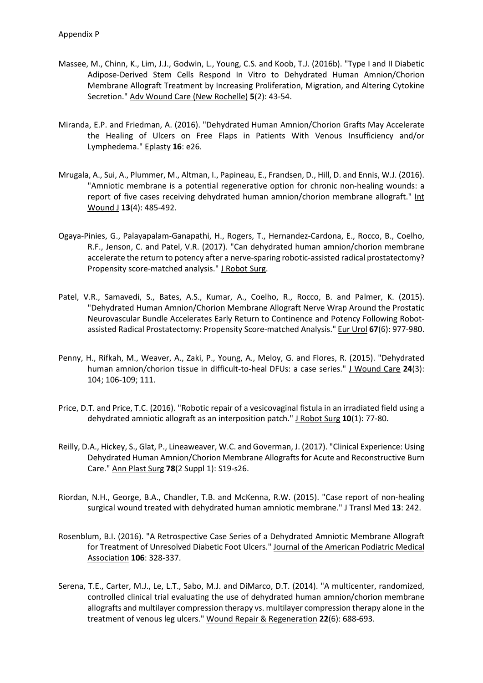- Massee, M., Chinn, K., Lim, J.J., Godwin, L., Young, C.S. and Koob, T.J. (2016b). "Type I and II Diabetic Adipose-Derived Stem Cells Respond In Vitro to Dehydrated Human Amnion/Chorion Membrane Allograft Treatment by Increasing Proliferation, Migration, and Altering Cytokine Secretion." Adv Wound Care (New Rochelle) **5**(2): 43-54.
- Miranda, E.P. and Friedman, A. (2016). "Dehydrated Human Amnion/Chorion Grafts May Accelerate the Healing of Ulcers on Free Flaps in Patients With Venous Insufficiency and/or Lymphedema." Eplasty **16**: e26.
- Mrugala, A., Sui, A., Plummer, M., Altman, I., Papineau, E., Frandsen, D., Hill, D. and Ennis, W.J. (2016). "Amniotic membrane is a potential regenerative option for chronic non-healing wounds: a report of five cases receiving dehydrated human amnion/chorion membrane allograft." Int Wound J **13**(4): 485-492.
- Ogaya-Pinies, G., Palayapalam-Ganapathi, H., Rogers, T., Hernandez-Cardona, E., Rocco, B., Coelho, R.F., Jenson, C. and Patel, V.R. (2017). "Can dehydrated human amnion/chorion membrane accelerate the return to potency after a nerve-sparing robotic-assisted radical prostatectomy? Propensity score-matched analysis." J Robot Surg.
- Patel, V.R., Samavedi, S., Bates, A.S., Kumar, A., Coelho, R., Rocco, B. and Palmer, K. (2015). "Dehydrated Human Amnion/Chorion Membrane Allograft Nerve Wrap Around the Prostatic Neurovascular Bundle Accelerates Early Return to Continence and Potency Following Robotassisted Radical Prostatectomy: Propensity Score-matched Analysis." Eur Urol **67**(6): 977-980.
- Penny, H., Rifkah, M., Weaver, A., Zaki, P., Young, A., Meloy, G. and Flores, R. (2015). "Dehydrated human amnion/chorion tissue in difficult-to-heal DFUs: a case series." J Wound Care **24**(3): 104; 106-109; 111.
- Price, D.T. and Price, T.C. (2016). "Robotic repair of a vesicovaginal fistula in an irradiated field using a dehydrated amniotic allograft as an interposition patch." J Robot Surg **10**(1): 77-80.
- Reilly, D.A., Hickey, S., Glat, P., Lineaweaver, W.C. and Goverman, J. (2017). "Clinical Experience: Using Dehydrated Human Amnion/Chorion Membrane Allografts for Acute and Reconstructive Burn Care." Ann Plast Surg **78**(2 Suppl 1): S19-s26.
- Riordan, N.H., George, B.A., Chandler, T.B. and McKenna, R.W. (2015). "Case report of non-healing surgical wound treated with dehydrated human amniotic membrane." J Transl Med **13**: 242.
- Rosenblum, B.I. (2016). "A Retrospective Case Series of a Dehydrated Amniotic Membrane Allograft for Treatment of Unresolved Diabetic Foot Ulcers." Journal of the American Podiatric Medical Association **106**: 328-337.
- Serena, T.E., Carter, M.J., Le, L.T., Sabo, M.J. and DiMarco, D.T. (2014). "A multicenter, randomized, controlled clinical trial evaluating the use of dehydrated human amnion/chorion membrane allografts and multilayer compression therapy vs. multilayer compression therapy alone in the treatment of venous leg ulcers." Wound Repair & Regeneration **22**(6): 688-693.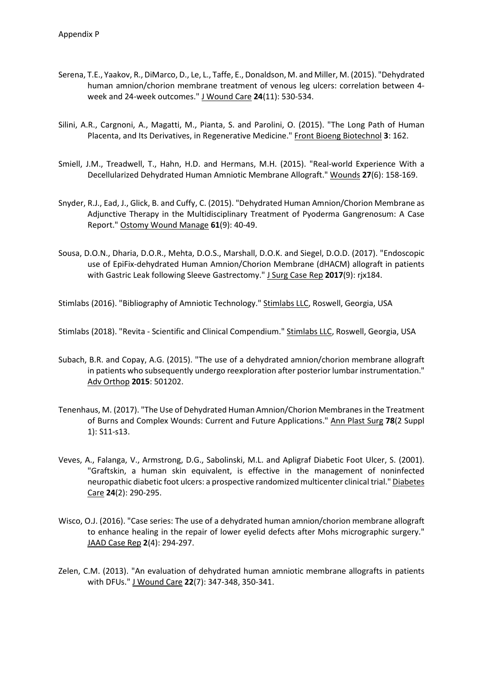- Serena, T.E., Yaakov, R., DiMarco, D., Le, L., Taffe, E., Donaldson, M. and Miller, M. (2015). "Dehydrated human amnion/chorion membrane treatment of venous leg ulcers: correlation between 4 week and 24-week outcomes." J Wound Care **24**(11): 530-534.
- Silini, A.R., Cargnoni, A., Magatti, M., Pianta, S. and Parolini, O. (2015). "The Long Path of Human Placenta, and Its Derivatives, in Regenerative Medicine." Front Bioeng Biotechnol **3**: 162.
- Smiell, J.M., Treadwell, T., Hahn, H.D. and Hermans, M.H. (2015). "Real-world Experience With a Decellularized Dehydrated Human Amniotic Membrane Allograft." Wounds **27**(6): 158-169.
- Snyder, R.J., Ead, J., Glick, B. and Cuffy, C. (2015). "Dehydrated Human Amnion/Chorion Membrane as Adjunctive Therapy in the Multidisciplinary Treatment of Pyoderma Gangrenosum: A Case Report." Ostomy Wound Manage **61**(9): 40-49.
- Sousa, D.O.N., Dharia, D.O.R., Mehta, D.O.S., Marshall, D.O.K. and Siegel, D.O.D. (2017). "Endoscopic use of EpiFix-dehydrated Human Amnion/Chorion Membrane (dHACM) allograft in patients with Gastric Leak following Sleeve Gastrectomy." J Surg Case Rep **2017**(9): rjx184.

Stimlabs (2016). "Bibliography of Amniotic Technology." Stimlabs LLC, Roswell, Georgia, USA

Stimlabs (2018). "Revita - Scientific and Clinical Compendium." Stimlabs LLC, Roswell, Georgia, USA

- Subach, B.R. and Copay, A.G. (2015). "The use of a dehydrated amnion/chorion membrane allograft in patients who subsequently undergo reexploration after posterior lumbar instrumentation." Adv Orthop **2015**: 501202.
- Tenenhaus, M. (2017). "The Use of Dehydrated Human Amnion/Chorion Membranes in the Treatment of Burns and Complex Wounds: Current and Future Applications." Ann Plast Surg **78**(2 Suppl 1): S11-s13.
- Veves, A., Falanga, V., Armstrong, D.G., Sabolinski, M.L. and Apligraf Diabetic Foot Ulcer, S. (2001). "Graftskin, a human skin equivalent, is effective in the management of noninfected neuropathic diabetic foot ulcers: a prospective randomized multicenter clinical trial." Diabetes Care **24**(2): 290-295.
- Wisco, O.J. (2016). "Case series: The use of a dehydrated human amnion/chorion membrane allograft to enhance healing in the repair of lower eyelid defects after Mohs micrographic surgery." JAAD Case Rep **2**(4): 294-297.
- Zelen, C.M. (2013). "An evaluation of dehydrated human amniotic membrane allografts in patients with DFUs." J Wound Care **22**(7): 347-348, 350-341.